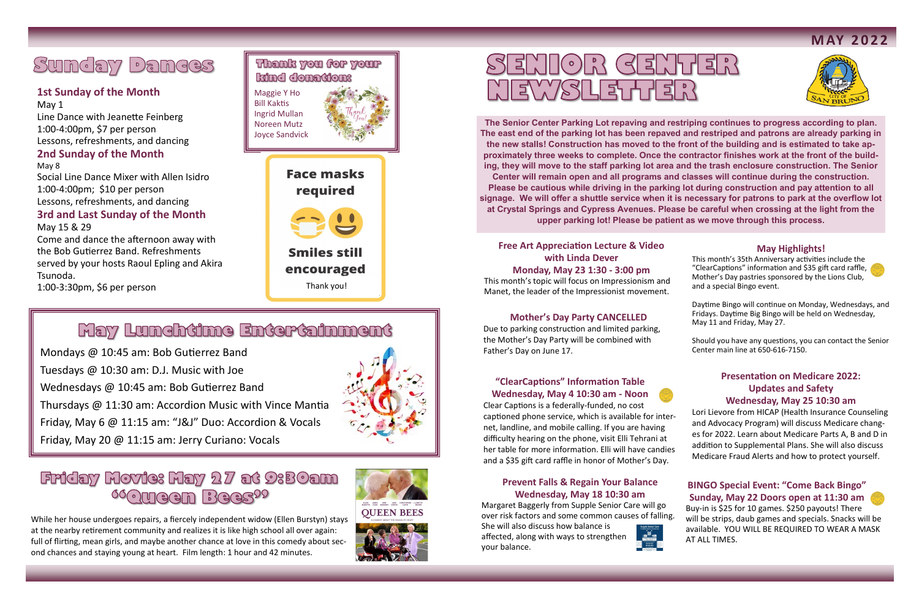#### **May Highlights!**

This month's 35th Anniversary activities include the "ClearCaptions" information and \$35 gift card raffle, Mother's Day pastries sponsored by the Lions Club, and a special Bingo event.



Daytime Bingo will continue on Monday, Wednesdays, and Fridays. Daytime Big Bingo will be held on Wednesday, May 11 and Friday, May 27.

Should you have any questions, you can contact the Senior Center main line at 650-616-7150.

#### **Mother's Day Party CANCELLED**

Due to parking construction and limited parking, the Mother's Day Party will be combined with Father's Day on June 17.

**The Senior Center Parking Lot repaving and restriping continues to progress according to plan. The east end of the parking lot has been repaved and restriped and patrons are already parking in the new stalls! Construction has moved to the front of the building and is estimated to take approximately three weeks to complete. Once the contractor finishes work at the front of the building, they will move to the staff parking lot area and the trash enclosure construction. The Senior Center will remain open and all programs and classes will continue during the construction. Please be cautious while driving in the parking lot during construction and pay attention to all signage. We will offer a shuttle service when it is necessary for patrons to park at the overflow lot at Crystal Springs and Cypress Avenues. Please be careful when crossing at the light from the upper parking lot! Please be patient as we move through this process.** 

## Sunday Dances

### **1st Sunday of the Month**

May 1 Line Dance with Jeanette Feinberg 1:00-4:00pm, \$7 per person Lessons, refreshments, and dancing **2nd Sunday of the Month**

May 8 Social Line Dance Mixer with Allen Isidro 1:00-4:00pm; \$10 per person Lessons, refreshments, and dancing **3rd and Last Sunday of the Month**

#### May 15 & 29

Come and dance the afternoon away with the Bob Gutierrez Band. Refreshments served by your hosts Raoul Epling and Akira Tsunoda.

### Thank you for your kind donation: Maggie Y Ho

**Smiles still** encouraged Thank you!

### May Lunchtime Entertainment

1:00-3:30pm, \$6 per person

Mondays @ 10:45 am: Bob Gutierrez Band Tuesdays @ 10:30 am: D.J. Music with Joe Wednesdays @ 10:45 am: Bob Gutierrez Band Thursdays @ 11:30 am: Accordion Music with Vince Mantia Friday, May 6 @ 11:15 am: "J&J" Duo: Accordion & Vocals Friday, May 20 @ 11:15 am: Jerry Curiano: Vocals



### Friday Movie: May 27 at 9:30am **66@Ween Bees<sup>99</sup>**

While her house undergoes repairs, a fiercely independent widow (Ellen Burstyn) stays at the nearby retirement community and realizes it is like high school all over again: full of flirting, mean girls, and maybe another chance at love in this comedy about second chances and staying young at heart. Film length: 1 hour and 42 minutes.





# SENIOR GENTER MEWSLETTER

#### **Prevent Falls & Regain Your Balance Wednesday, May 18 10:30 am**

Margaret Baggerly from Supple Senior Care will go over risk factors and some common causes of falling.

She will also discuss how balance is affected, along with ways to strengthen your balance.







#### **Presentation on Medicare 2022: Updates and Safety Wednesday, May 25 10:30 am**

Lori Lievore from HICAP (Health Insurance Counseling and Advocacy Program) will discuss Medicare changes for 2022. Learn about Medicare Parts A, B and D in addition to Supplemental Plans. She will also discuss Medicare Fraud Alerts and how to protect yourself.

#### **"ClearCaptions" Information Table Wednesday, May 4 10:30 am - Noon**

Clear Captions is a federally-funded, no cost captioned phone service, which is available for internet, landline, and mobile calling. If you are having difficulty hearing on the phone, visit Elli Tehrani at her table for more information. Elli will have candies and a \$35 gift card raffle in honor of Mother's Day.

#### **Free Art Appreciation Lecture & Video with Linda Dever Monday, May 23 1:30 - 3:00 pm**

This month's topic will focus on Impressionism and Manet, the leader of the Impressionist movement.

Bill Kaktis Ingrid Mullan Noreen Mutz Joyce Sandvick



**Face masks** required

#### **BINGO Special Event: "Come Back Bingo" Sunday, May 22 Doors open at 11:30 am**

Buy-in is \$25 for 10 games. \$250 payouts! There will be strips, daub games and specials. Snacks will be available. YOU WILL BE REQUIRED TO WEAR A MASK AT ALL TIMES.

**M AY 2 0 2 2**